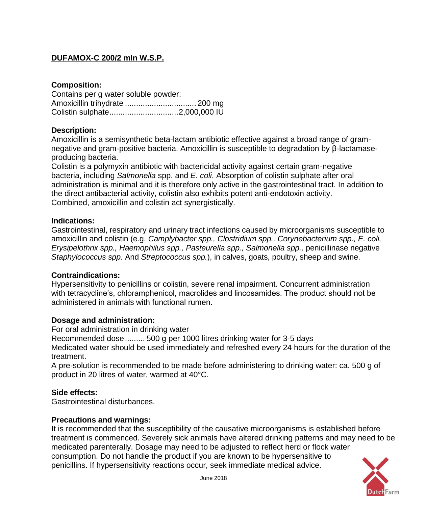# **DUFAMOX-C 200/2 mln W.S.P.**

### **Composition:**

| Contains per g water soluble powder: |  |
|--------------------------------------|--|
|                                      |  |
|                                      |  |

### **Description:**

Amoxicillin is a semisynthetic beta-lactam antibiotic effective against a broad range of gramnegative and gram-positive bacteria. Amoxicillin is susceptible to degradation by β-lactamaseproducing bacteria.

Colistin is a polymyxin antibiotic with bactericidal activity against certain gram-negative bacteria, including *Salmonella* spp. and *E. coli*. Absorption of colistin sulphate after oral administration is minimal and it is therefore only active in the gastrointestinal tract. In addition to the direct antibacterial activity, colistin also exhibits potent anti-endotoxin activity. Combined, amoxicillin and colistin act synergistically.

### **Indications:**

Gastrointestinal, respiratory and urinary tract infections caused by microorganisms susceptible to amoxicillin and colistin (e.g. *Camplybacter spp., Clostridium spp., Corynebacterium spp., E. coli, Erysipelothrix spp., Haemophilus spp., Pasteurella spp., Salmonella spp.,* penicillinase negative *Staphylococcus spp.* And *Streptococcus spp.*), in calves, goats, poultry, sheep and swine.

### **Contraindications:**

Hypersensitivity to penicillins or colistin, severe renal impairment. Concurrent administration with tetracycline's, chloramphenicol, macrolides and lincosamides. The product should not be administered in animals with functional rumen.

### **Dosage and administration:**

For oral administration in drinking water

Recommended dose......... 500 g per 1000 litres drinking water for 3-5 days

Medicated water should be used immediately and refreshed every 24 hours for the duration of the treatment.

A pre-solution is recommended to be made before administering to drinking water: ca. 500 g of product in 20 litres of water, warmed at 40°C.

### **Side effects:**

Gastrointestinal disturbances.

### **Precautions and warnings:**

It is recommended that the susceptibility of the causative microorganisms is established before treatment is commenced. Severely sick animals have altered drinking patterns and may need to be medicated parenterally. Dosage may need to be adjusted to reflect herd or flock water consumption. Do not handle the product if you are known to be hypersensitive to penicillins. If hypersensitivity reactions occur, seek immediate medical advice.